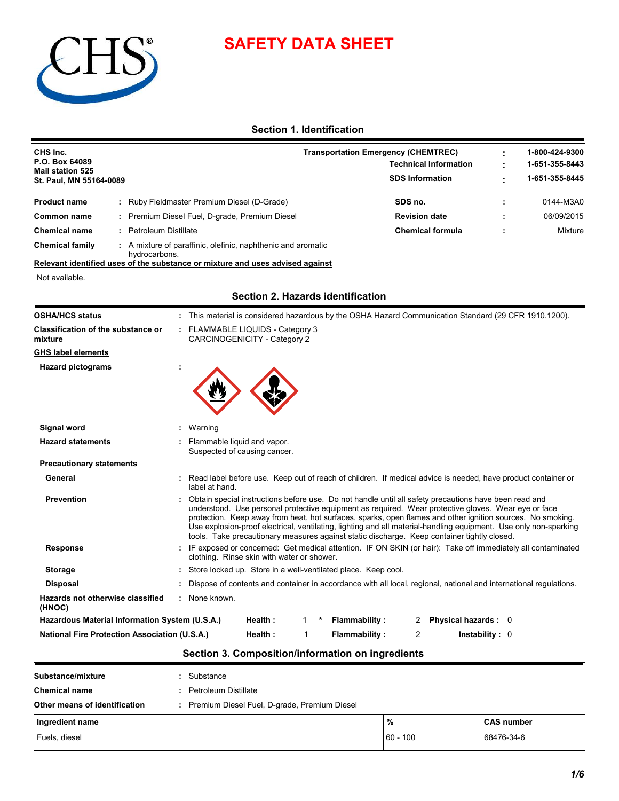



# **Section 1. Identification**

| CHS Inc.<br>P.O. Box 64089<br><b>Mail station 525</b><br>St. Paul, MN 55164-0089 |  |                                                            | <b>Transportation Emergency (CHEMTREC)</b><br><b>Technical Information</b><br><b>SDS Information</b> | 1-800-424-9300<br>1-651-355-8443<br>1-651-355-8445 |
|----------------------------------------------------------------------------------|--|------------------------------------------------------------|------------------------------------------------------------------------------------------------------|----------------------------------------------------|
| <b>Product name</b>                                                              |  | Ruby Fieldmaster Premium Diesel (D-Grade)                  | SDS no.                                                                                              | 0144-M3A0                                          |
| Common name                                                                      |  | Premium Diesel Fuel, D-grade, Premium Diesel               | <b>Revision date</b>                                                                                 | 06/09/2015                                         |
| <b>Chemical name</b>                                                             |  | Petroleum Distillate                                       | <b>Chemical formula</b>                                                                              | Mixture                                            |
| <b>Chemical family</b>                                                           |  | A mixture of paraffinic, olefinic, naphthenic and aromatic |                                                                                                      |                                                    |

hydrocarbons. **Relevant identified uses of the substance or mixture and uses advised against**

Not available.

## **Section 2. Hazards identification**

| <b>OSHA/HCS status</b>                               | This material is considered hazardous by the OSHA Hazard Communication Standard (29 CFR 1910.1200).                                                                                                                                                                                                                                                                                                                                                                                                                                           |
|------------------------------------------------------|-----------------------------------------------------------------------------------------------------------------------------------------------------------------------------------------------------------------------------------------------------------------------------------------------------------------------------------------------------------------------------------------------------------------------------------------------------------------------------------------------------------------------------------------------|
| <b>Classification of the substance or</b><br>mixture | : FLAMMABLE LIQUIDS - Category 3<br>CARCINOGENICITY - Category 2                                                                                                                                                                                                                                                                                                                                                                                                                                                                              |
| GHS label elements                                   |                                                                                                                                                                                                                                                                                                                                                                                                                                                                                                                                               |
| <b>Hazard pictograms</b>                             |                                                                                                                                                                                                                                                                                                                                                                                                                                                                                                                                               |
| Signal word                                          | Warning                                                                                                                                                                                                                                                                                                                                                                                                                                                                                                                                       |
| <b>Hazard statements</b>                             | Flammable liquid and vapor.<br>Suspected of causing cancer.                                                                                                                                                                                                                                                                                                                                                                                                                                                                                   |
| <b>Precautionary statements</b>                      |                                                                                                                                                                                                                                                                                                                                                                                                                                                                                                                                               |
| General                                              | : Read label before use. Keep out of reach of children. If medical advice is needed, have product container or<br>label at hand.                                                                                                                                                                                                                                                                                                                                                                                                              |
| <b>Prevention</b>                                    | Obtain special instructions before use. Do not handle until all safety precautions have been read and<br>understood. Use personal protective equipment as required. Wear protective gloves. Wear eye or face<br>protection. Keep away from heat, hot surfaces, sparks, open flames and other ignition sources. No smoking.<br>Use explosion-proof electrical, ventilating, lighting and all material-handling equipment. Use only non-sparking<br>tools. Take precautionary measures against static discharge. Keep container tightly closed. |
| <b>Response</b>                                      | IF exposed or concerned: Get medical attention. IF ON SKIN (or hair): Take off immediately all contaminated<br>clothing. Rinse skin with water or shower.                                                                                                                                                                                                                                                                                                                                                                                     |
| <b>Storage</b>                                       | : Store locked up. Store in a well-ventilated place. Keep cool.                                                                                                                                                                                                                                                                                                                                                                                                                                                                               |
| <b>Disposal</b>                                      | : Dispose of contents and container in accordance with all local, regional, national and international regulations.                                                                                                                                                                                                                                                                                                                                                                                                                           |
| Hazards not otherwise classified<br>(HNOC)           | : None known.                                                                                                                                                                                                                                                                                                                                                                                                                                                                                                                                 |
| Hazardous Material Information System (U.S.A.)       | Health:<br>Flammability:<br>2 Physical hazards: 0                                                                                                                                                                                                                                                                                                                                                                                                                                                                                             |
|                                                      | <b>Flammability:</b><br><b>National Fire Protection Association (U.S.A.)</b><br>Health:<br>2<br>Instability: $0$                                                                                                                                                                                                                                                                                                                                                                                                                              |

# **Section 3. Composition/information on ingredients**

| Substance/mixture             | Substance                                    |            |                   |
|-------------------------------|----------------------------------------------|------------|-------------------|
| <b>Chemical name</b>          | Petroleum Distillate                         |            |                   |
| Other means of identification | Premium Diesel Fuel, D-grade, Premium Diesel |            |                   |
| Ingredient name               |                                              | %          | <b>CAS number</b> |
| Fuels, diesel                 |                                              | $60 - 100$ | 68476-34-6        |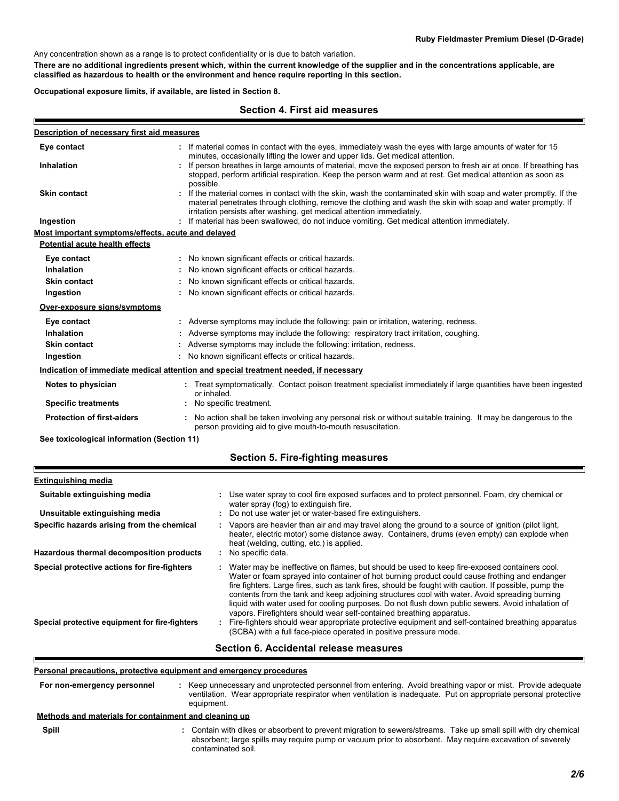Any concentration shown as a range is to protect confidentiality or is due to batch variation.

**There are no additional ingredients present which, within the current knowledge of the supplier and in the concentrations applicable, are classified as hazardous to health or the environment and hence require reporting in this section.**

**Occupational exposure limits, if available, are listed in Section 8.**

#### **Section 4. First aid measures**

| Description of necessary first aid measures        |                                                                                                                                                                                                                                                                                                            |
|----------------------------------------------------|------------------------------------------------------------------------------------------------------------------------------------------------------------------------------------------------------------------------------------------------------------------------------------------------------------|
| Eye contact                                        | If material comes in contact with the eyes, immediately wash the eyes with large amounts of water for 15<br>minutes, occasionally lifting the lower and upper lids. Get medical attention.                                                                                                                 |
| <b>Inhalation</b>                                  | : If person breathes in large amounts of material, move the exposed person to fresh air at once. If breathing has<br>stopped, perform artificial respiration. Keep the person warm and at rest. Get medical attention as soon as<br>possible.                                                              |
| <b>Skin contact</b>                                | : If the material comes in contact with the skin, wash the contaminated skin with soap and water promptly. If the<br>material penetrates through clothing, remove the clothing and wash the skin with soap and water promptly. If<br>irritation persists after washing, get medical attention immediately. |
| Ingestion                                          | : If material has been swallowed, do not induce vomiting. Get medical attention immediately.                                                                                                                                                                                                               |
| Most important symptoms/effects, acute and delayed |                                                                                                                                                                                                                                                                                                            |
| Potential acute health effects                     |                                                                                                                                                                                                                                                                                                            |
| Eye contact                                        | : No known significant effects or critical hazards.                                                                                                                                                                                                                                                        |
| Inhalation                                         | No known significant effects or critical hazards.                                                                                                                                                                                                                                                          |
| <b>Skin contact</b>                                | No known significant effects or critical hazards.                                                                                                                                                                                                                                                          |
| Ingestion                                          | : No known significant effects or critical hazards.                                                                                                                                                                                                                                                        |
| Over-exposure signs/symptoms                       |                                                                                                                                                                                                                                                                                                            |
| Eye contact                                        | : Adverse symptoms may include the following: pain or irritation, watering, redness.                                                                                                                                                                                                                       |
| <b>Inhalation</b>                                  | : Adverse symptoms may include the following: respiratory tract irritation, coughing.                                                                                                                                                                                                                      |
| <b>Skin contact</b>                                | Adverse symptoms may include the following: irritation, redness.                                                                                                                                                                                                                                           |
| Ingestion                                          | : No known significant effects or critical hazards.                                                                                                                                                                                                                                                        |
|                                                    | Indication of immediate medical attention and special treatment needed, if necessary                                                                                                                                                                                                                       |
| Notes to physician                                 | Treat symptomatically. Contact poison treatment specialist immediately if large quantities have been ingested<br>or inhaled.                                                                                                                                                                               |
| <b>Specific treatments</b>                         | No specific treatment.                                                                                                                                                                                                                                                                                     |
| <b>Protection of first-aiders</b>                  | : No action shall be taken involving any personal risk or without suitable training. It may be dangerous to the<br>person providing aid to give mouth-to-mouth resuscitation.                                                                                                                              |
|                                                    |                                                                                                                                                                                                                                                                                                            |

**See toxicological information (Section 11)**

|  | Section 5. Fire-fighting measures |  |
|--|-----------------------------------|--|
|--|-----------------------------------|--|

| <b>Extinguishing media</b>                     |                                                                                                                                                                                                                                                                                                                                                                                                                                                                                                                                                                                     |
|------------------------------------------------|-------------------------------------------------------------------------------------------------------------------------------------------------------------------------------------------------------------------------------------------------------------------------------------------------------------------------------------------------------------------------------------------------------------------------------------------------------------------------------------------------------------------------------------------------------------------------------------|
| Suitable extinguishing media                   | Use water spray to cool fire exposed surfaces and to protect personnel. Foam, dry chemical or<br>water spray (fog) to extinguish fire.                                                                                                                                                                                                                                                                                                                                                                                                                                              |
| Unsuitable extinguishing media                 | : Do not use water jet or water-based fire extinguishers.                                                                                                                                                                                                                                                                                                                                                                                                                                                                                                                           |
| Specific hazards arising from the chemical     | : Vapors are heavier than air and may travel along the ground to a source of ignition (pilot light,<br>heater, electric motor) some distance away. Containers, drums (even empty) can explode when<br>heat (welding, cutting, etc.) is applied.                                                                                                                                                                                                                                                                                                                                     |
| Hazardous thermal decomposition products       | : No specific data.                                                                                                                                                                                                                                                                                                                                                                                                                                                                                                                                                                 |
| Special protective actions for fire-fighters   | Water may be ineffective on flames, but should be used to keep fire-exposed containers cool.<br>Water or foam sprayed into container of hot burning product could cause frothing and endanger<br>fire fighters. Large fires, such as tank fires, should be fought with caution. If possible, pump the<br>contents from the tank and keep adjoining structures cool with water. Avoid spreading burning<br>liquid with water used for cooling purposes. Do not flush down public sewers. Avoid inhalation of<br>vapors. Firefighters should wear self-contained breathing apparatus. |
| Special protective equipment for fire-fighters | Fire-fighters should wear appropriate protective equipment and self-contained breathing apparatus<br>÷.<br>(SCBA) with a full face-piece operated in positive pressure mode.                                                                                                                                                                                                                                                                                                                                                                                                        |
|                                                |                                                                                                                                                                                                                                                                                                                                                                                                                                                                                                                                                                                     |

#### **Section 6. Accidental release measures**

#### **Personal precautions, protective equipment and emergency procedures**

**:** Keep unnecessary and unprotected personnel from entering. Avoid breathing vapor or mist. Provide adequate ventilation. Wear appropriate respirator when ventilation is inadequate. Put on appropriate personal protective equipment. **For non-emergency personnel**

#### **: Methods and materials for containment and cleaning up**

**Spill**

Е

E

Contain with dikes or absorbent to prevent migration to sewers/streams. Take up small spill with dry chemical absorbent; large spills may require pump or vacuum prior to absorbent. May require excavation of severely contaminated soil.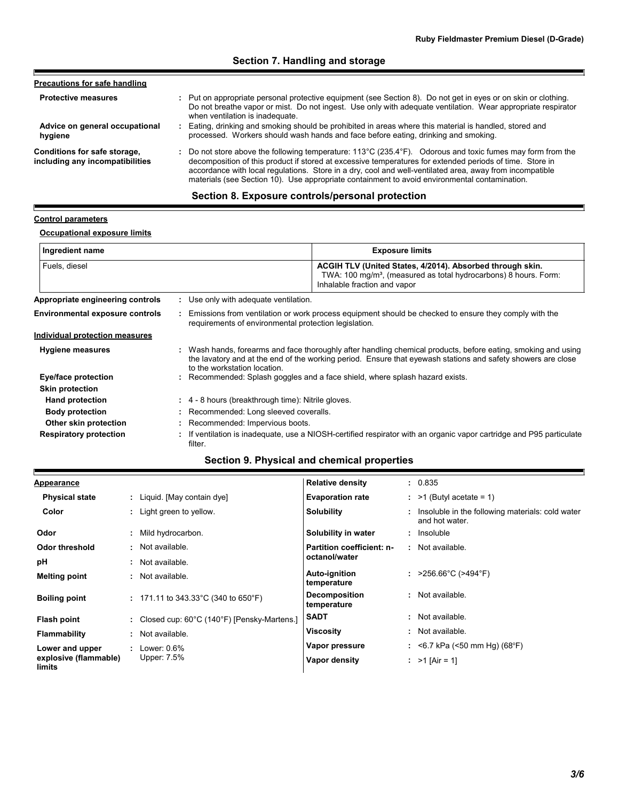# **Section 7. Handling and storage**

| <b>Precautions for safe handling</b>                            |                                                                                                                                                                                                                                                                                                                                                                                                                                               |
|-----------------------------------------------------------------|-----------------------------------------------------------------------------------------------------------------------------------------------------------------------------------------------------------------------------------------------------------------------------------------------------------------------------------------------------------------------------------------------------------------------------------------------|
| <b>Protective measures</b>                                      | : Put on appropriate personal protective equipment (see Section 8). Do not get in eyes or on skin or clothing.<br>Do not breathe vapor or mist. Do not ingest. Use only with adequate ventilation. Wear appropriate respirator<br>when ventilation is inadequate.                                                                                                                                                                             |
| Advice on general occupational<br>hygiene                       | : Eating, drinking and smoking should be prohibited in areas where this material is handled, stored and<br>processed. Workers should wash hands and face before eating, drinking and smoking.                                                                                                                                                                                                                                                 |
| Conditions for safe storage,<br>including any incompatibilities | : Do not store above the following temperature: $113^{\circ}$ C (235.4°F). Odorous and toxic fumes may form from the<br>decomposition of this product if stored at excessive temperatures for extended periods of time. Store in<br>accordance with local regulations. Store in a dry, cool and well-ventilated area, away from incompatible<br>materials (see Section 10). Use appropriate containment to avoid environmental contamination. |

# **Section 8. Exposure controls/personal protection**

### **Control parameters**

E

I

# **Occupational exposure limits**

| Ingredient name                        |                                                         | <b>Exposure limits</b>                                                                                                                                                                                                        |
|----------------------------------------|---------------------------------------------------------|-------------------------------------------------------------------------------------------------------------------------------------------------------------------------------------------------------------------------------|
| Fuels, diesel                          |                                                         | ACGIH TLV (United States, 4/2014). Absorbed through skin.<br>TWA: 100 mg/m <sup>3</sup> , (measured as total hydrocarbons) 8 hours. Form:<br>Inhalable fraction and vapor                                                     |
| Appropriate engineering controls       | : Use only with adequate ventilation.                   |                                                                                                                                                                                                                               |
| <b>Environmental exposure controls</b> | requirements of environmental protection legislation.   | Emissions from ventilation or work process equipment should be checked to ensure they comply with the                                                                                                                         |
| Individual protection measures         |                                                         |                                                                                                                                                                                                                               |
| <b>Hygiene measures</b>                | to the workstation location.                            | : Wash hands, forearms and face thoroughly after handling chemical products, before eating, smoking and using<br>the lavatory and at the end of the working period. Ensure that eyewash stations and safety showers are close |
| Eye/face protection                    |                                                         | : Recommended: Splash goggles and a face shield, where splash hazard exists.                                                                                                                                                  |
| <b>Skin protection</b>                 |                                                         |                                                                                                                                                                                                                               |
| <b>Hand protection</b>                 | $\div$ 4 - 8 hours (breakthrough time): Nitrile gloves. |                                                                                                                                                                                                                               |
| <b>Body protection</b>                 | : Recommended: Long sleeved coveralls.                  |                                                                                                                                                                                                                               |
| Other skin protection                  | : Recommended: Impervious boots.                        |                                                                                                                                                                                                                               |
| <b>Respiratory protection</b>          | filter.                                                 | : If ventilation is inadequate, use a NIOSH-certified respirator with an organic vapor cartridge and P95 particulate                                                                                                          |

# **Section 9. Physical and chemical properties**

| <b>Appearance</b>               |                                              | <b>Relative density</b>             | : 0.835                                                              |
|---------------------------------|----------------------------------------------|-------------------------------------|----------------------------------------------------------------------|
| <b>Physical state</b>           | : Liquid. [May contain dye]                  | <b>Evaporation rate</b>             | $:$ >1 (Butyl acetate = 1)                                           |
| Color                           | : Light green to yellow.                     | Solubility                          | : Insoluble in the following materials: cold water<br>and hot water. |
| Odor                            | Mild hydrocarbon.                            | Solubility in water                 | : Insoluble                                                          |
| Odor threshold                  | Not available.                               | Partition coefficient: n-           | : Not available.                                                     |
| рH                              | Not available.                               | octanol/water                       |                                                                      |
| <b>Melting point</b>            | Not available.                               | <b>Auto-ignition</b><br>temperature | : $>256.66^{\circ}$ C ( $>494^{\circ}$ F)                            |
| <b>Boiling point</b>            | : 171.11 to 343.33 °C (340 to 650 °F)        | <b>Decomposition</b><br>temperature | : Not available.                                                     |
| Flash point                     | : Closed cup: 60°C (140°F) [Pensky-Martens.] | <b>SADT</b>                         | : Not available.                                                     |
| <b>Flammability</b>             | Not available.                               | <b>Viscosity</b>                    | : Not available.                                                     |
| Lower and upper                 | Lower: $0.6\%$                               | Vapor pressure                      | : <6.7 kPa (<50 mm Hg) (68°F)                                        |
| explosive (flammable)<br>limits | Upper: 7.5%                                  | Vapor density                       | : $>1$ [Air = 1]                                                     |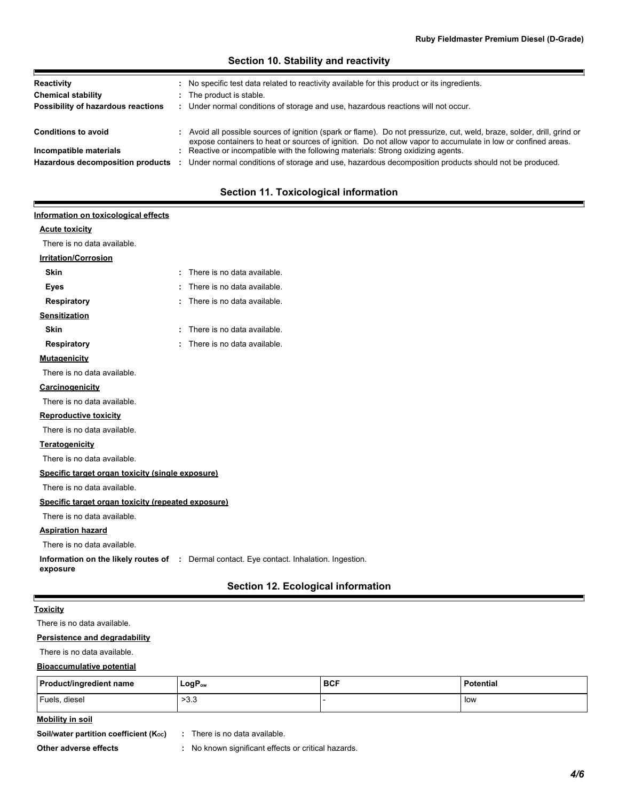| Reactivity<br><b>Chemical stability</b><br>Possibility of hazardous reactions | : No specific test data related to reactivity available for this product or its ingredients.<br>: The product is stable.<br>: Under normal conditions of storage and use, hazardous reactions will not occur.                           |
|-------------------------------------------------------------------------------|-----------------------------------------------------------------------------------------------------------------------------------------------------------------------------------------------------------------------------------------|
| <b>Conditions to avoid</b>                                                    | : Avoid all possible sources of ignition (spark or flame). Do not pressurize, cut, weld, braze, solder, drill, grind or<br>expose containers to heat or sources of ignition. Do not allow vapor to accumulate in low or confined areas. |
| Incompatible materials<br>Hazardous decomposition products                    | : Reactive or incompatible with the following materials: Strong oxidizing agents.<br>Under normal conditions of storage and use, hazardous decomposition products should not be produced.                                               |

#### **Section 10. Stability and reactivity**

## **Section 11. Toxicological information**

# **Acute toxicity Carcinogenicity Mutagenicity Teratogenicity Reproductive toxicity Irritation/Corrosion Sensitization Information on the likely routes of :** Dermal contact. Eye contact. Inhalation. Ingestion. **exposure Specific target organ toxicity (single exposure) Specific target organ toxicity (repeated exposure) Aspiration hazard Information on toxicological effects** There is no data available. **Skin :** There is no data available. **Eyes :** There is no data available. **Respiratory :** There is no data available. : There is no data available. **Skin Skin Skin Example 1 :** There is no data available. **Respiratory :** There is no data available. There is no data available. There is no data available. There is no data available. There is no data available. There is no data available. There is no data available. There is no data available. There is no data available.

## **Section 12. Ecological information**

#### **Toxicity**

Е

Е

There is no data available.

#### **Persistence and degradability**

There is no data available.

#### **Bioaccumulative potential**

| Product/ingredient name | LogP <sub>ow</sub> | <b>BCF</b> | <b>Potential</b> |
|-------------------------|--------------------|------------|------------------|
| Fuels, diesel           | - ລາ<br>د.د ~      |            | low              |

#### **Mobility in soil**

**Soil/water partition coefficient (K<sub>oc</sub>) :** There is no data available.

**Other adverse effects :** No known significant effects or critical hazards.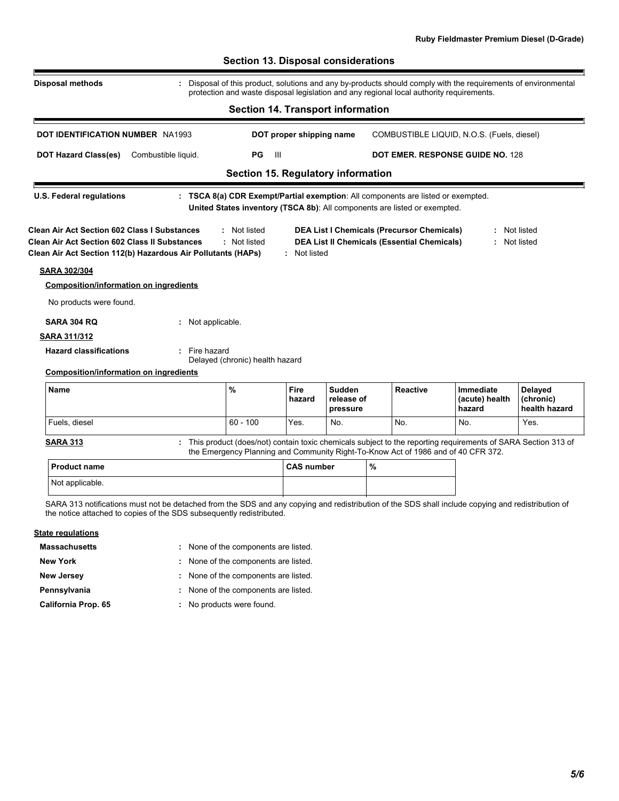| <b>Disposal methods</b>                                                                                                                                              |                     |                                 |                                          |                                  |                                                                                                         | Disposal of this product, solutions and any by-products should comply with the requirements of environmental<br>protection and waste disposal legislation and any regional local authority requirements. |                                              |
|----------------------------------------------------------------------------------------------------------------------------------------------------------------------|---------------------|---------------------------------|------------------------------------------|----------------------------------|---------------------------------------------------------------------------------------------------------|----------------------------------------------------------------------------------------------------------------------------------------------------------------------------------------------------------|----------------------------------------------|
|                                                                                                                                                                      |                     |                                 | <b>Section 14. Transport information</b> |                                  |                                                                                                         |                                                                                                                                                                                                          |                                              |
| <b>DOT IDENTIFICATION NUMBER NA1993</b>                                                                                                                              |                     |                                 | DOT proper shipping name                 |                                  |                                                                                                         | COMBUSTIBLE LIQUID, N.O.S. (Fuels, diesel)                                                                                                                                                               |                                              |
| <b>DOT Hazard Class(es)</b>                                                                                                                                          | Combustible liquid. | PG                              | - 111                                    |                                  |                                                                                                         | <b>DOT EMER. RESPONSE GUIDE NO. 128</b>                                                                                                                                                                  |                                              |
|                                                                                                                                                                      |                     |                                 | Section 15. Regulatory information       |                                  |                                                                                                         |                                                                                                                                                                                                          |                                              |
| <b>U.S. Federal regulations</b>                                                                                                                                      |                     |                                 |                                          |                                  | United States inventory (TSCA 8b): All components are listed or exempted.                               | : TSCA 8(a) CDR Exempt/Partial exemption: All components are listed or exempted.                                                                                                                         |                                              |
| Clean Air Act Section 602 Class I Substances<br><b>Clean Air Act Section 602 Class II Substances</b><br>Clean Air Act Section 112(b) Hazardous Air Pollutants (HAPs) |                     | : Not listed<br>: Not listed    | : Not listed                             |                                  | <b>DEA List I Chemicals (Precursor Chemicals)</b><br><b>DEA List II Chemicals (Essential Chemicals)</b> |                                                                                                                                                                                                          | : Not listed<br>: Not listed                 |
|                                                                                                                                                                      |                     |                                 |                                          |                                  |                                                                                                         |                                                                                                                                                                                                          |                                              |
|                                                                                                                                                                      |                     |                                 |                                          |                                  |                                                                                                         |                                                                                                                                                                                                          |                                              |
| <b>Composition/information on ingredients</b>                                                                                                                        |                     |                                 |                                          |                                  |                                                                                                         |                                                                                                                                                                                                          |                                              |
| No products were found.                                                                                                                                              |                     |                                 |                                          |                                  |                                                                                                         |                                                                                                                                                                                                          |                                              |
| <b>SARA 304 RQ</b>                                                                                                                                                   | : Not applicable.   |                                 |                                          |                                  |                                                                                                         |                                                                                                                                                                                                          |                                              |
|                                                                                                                                                                      |                     |                                 |                                          |                                  |                                                                                                         |                                                                                                                                                                                                          |                                              |
| <b>SARA 311/312</b><br><b>Hazard classifications</b>                                                                                                                 | : Fire hazard       | Delayed (chronic) health hazard |                                          |                                  |                                                                                                         |                                                                                                                                                                                                          |                                              |
| <b>Composition/information on ingredients</b>                                                                                                                        |                     |                                 |                                          |                                  |                                                                                                         |                                                                                                                                                                                                          |                                              |
| <b>SARA 302/304</b><br><b>Name</b>                                                                                                                                   |                     | %                               | <b>Fire</b><br>hazard                    | Sudden<br>release of<br>pressure | <b>Reactive</b>                                                                                         | <b>Immediate</b><br>(acute) health<br>hazard                                                                                                                                                             | <b>Delayed</b><br>(chronic)<br>health hazard |
| Fuels, diesel                                                                                                                                                        |                     | $60 - 100$                      | Yes.                                     | No.                              | No.                                                                                                     | No.                                                                                                                                                                                                      | Yes.                                         |
| <b>SARA 313</b>                                                                                                                                                      |                     |                                 |                                          |                                  |                                                                                                         | : This product (does/not) contain toxic chemicals subject to the reporting requirements of SARA Section 313 of<br>the Emergency Planning and Community Right-To-Know Act of 1986 and of 40 CFR 372.      |                                              |
| <b>Product name</b>                                                                                                                                                  |                     |                                 | <b>CAS number</b>                        |                                  | %                                                                                                       |                                                                                                                                                                                                          |                                              |

SARA 313 notifications must not be detached from the SDS and any copying and redistribution of the SDS shall include copying and redistribution of the notice attached to copies of the SDS subsequently redistributed.

#### **State regulations**

**Massachusetts**

None of the components are listed. **:**

**New York :** None of the components are listed.

- 
- **New Jersey :** None of the components are listed.

**Pennsylvania :** None of the components are listed.

**California Prop. 65**

No products were found. **:**